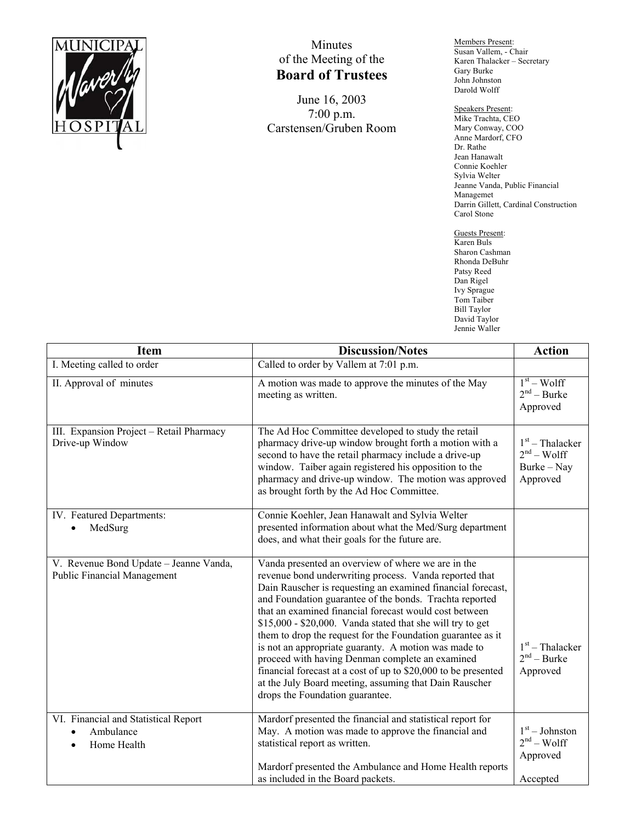

## Minutes of the Meeting of the **Board of Trustees**

June 16, 2003 7:00 p.m. Carstensen/Gruben Room Members Present: Susan Vallem, - Chair Karen Thalacker – Secretary Gary Burke John Johnston Darold Wolff

Speakers Present: Mike Trachta, CEO Mary Conway, COO Anne Mardorf, CFO Dr. Rathe Jean Hanawalt Connie Koehler Sylvia Welter Jeanne Vanda, Public Financial Managemet Darrin Gillett, Cardinal Construction Carol Stone

Guests Present: Karen Buls Sharon Cashman Rhonda DeBuhr Patsy Reed Dan Rigel Ivy Sprague Tom Taiber Bill Taylor David Taylor Jennie Waller

| <b>Item</b>                                                                  | <b>Discussion/Notes</b>                                                                                                                                                                                                                                                                                                                                                                                                                                                                                                                                                                                                                                                                                 | <b>Action</b>                                                |
|------------------------------------------------------------------------------|---------------------------------------------------------------------------------------------------------------------------------------------------------------------------------------------------------------------------------------------------------------------------------------------------------------------------------------------------------------------------------------------------------------------------------------------------------------------------------------------------------------------------------------------------------------------------------------------------------------------------------------------------------------------------------------------------------|--------------------------------------------------------------|
| I. Meeting called to order                                                   | Called to order by Vallem at 7:01 p.m.                                                                                                                                                                                                                                                                                                                                                                                                                                                                                                                                                                                                                                                                  |                                                              |
| II. Approval of minutes                                                      | A motion was made to approve the minutes of the May<br>meeting as written.                                                                                                                                                                                                                                                                                                                                                                                                                                                                                                                                                                                                                              | $\overline{1^{st}}$ – Wolff<br>$2nd - Burke$<br>Approved     |
| III. Expansion Project - Retail Pharmacy<br>Drive-up Window                  | The Ad Hoc Committee developed to study the retail<br>pharmacy drive-up window brought forth a motion with a<br>second to have the retail pharmacy include a drive-up<br>window. Taiber again registered his opposition to the<br>pharmacy and drive-up window. The motion was approved<br>as brought forth by the Ad Hoc Committee.                                                                                                                                                                                                                                                                                                                                                                    | $1st$ – Thalacker<br>$2nd - Wolf$<br>Burke – Nay<br>Approved |
| IV. Featured Departments:<br>MedSurg                                         | Connie Koehler, Jean Hanawalt and Sylvia Welter<br>presented information about what the Med/Surg department<br>does, and what their goals for the future are.                                                                                                                                                                                                                                                                                                                                                                                                                                                                                                                                           |                                                              |
| V. Revenue Bond Update - Jeanne Vanda,<br><b>Public Financial Management</b> | Vanda presented an overview of where we are in the<br>revenue bond underwriting process. Vanda reported that<br>Dain Rauscher is requesting an examined financial forecast,<br>and Foundation guarantee of the bonds. Trachta reported<br>that an examined financial forecast would cost between<br>\$15,000 - \$20,000. Vanda stated that she will try to get<br>them to drop the request for the Foundation guarantee as it<br>is not an appropriate guaranty. A motion was made to<br>proceed with having Denman complete an examined<br>financial forecast at a cost of up to \$20,000 to be presented<br>at the July Board meeting, assuming that Dain Rauscher<br>drops the Foundation guarantee. | $1st$ – Thalacker<br>$2nd - Burke$<br>Approved               |
| VI. Financial and Statistical Report<br>Ambulance<br>Home Health             | Mardorf presented the financial and statistical report for<br>May. A motion was made to approve the financial and<br>statistical report as written.<br>Mardorf presented the Ambulance and Home Health reports<br>as included in the Board packets.                                                                                                                                                                                                                                                                                                                                                                                                                                                     | $1st - Johnston$<br>$2nd - Wolf$<br>Approved<br>Accepted     |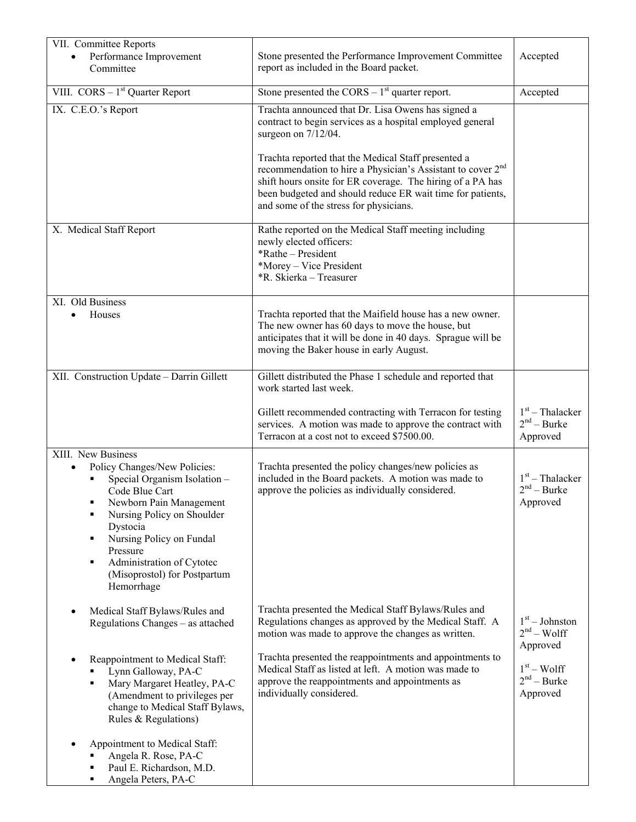| VII. Committee Reports<br>Performance Improvement<br>Committee                                                                                                                                                                                                                                              | Stone presented the Performance Improvement Committee<br>report as included in the Board packet.                                                                                                                                                                                                                                                                                                                                                  | Accepted                                       |
|-------------------------------------------------------------------------------------------------------------------------------------------------------------------------------------------------------------------------------------------------------------------------------------------------------------|---------------------------------------------------------------------------------------------------------------------------------------------------------------------------------------------------------------------------------------------------------------------------------------------------------------------------------------------------------------------------------------------------------------------------------------------------|------------------------------------------------|
| VIII. $CORS - 1st$ Quarter Report                                                                                                                                                                                                                                                                           | Stone presented the $CORS - 1st$ quarter report.                                                                                                                                                                                                                                                                                                                                                                                                  | Accepted                                       |
| IX. C.E.O.'s Report                                                                                                                                                                                                                                                                                         | Trachta announced that Dr. Lisa Owens has signed a<br>contract to begin services as a hospital employed general<br>surgeon on $7/12/04$ .<br>Trachta reported that the Medical Staff presented a<br>recommendation to hire a Physician's Assistant to cover 2 <sup>nd</sup><br>shift hours onsite for ER coverage. The hiring of a PA has<br>been budgeted and should reduce ER wait time for patients,<br>and some of the stress for physicians. |                                                |
| X. Medical Staff Report                                                                                                                                                                                                                                                                                     | Rathe reported on the Medical Staff meeting including<br>newly elected officers:<br>*Rathe - President<br>*Morey – Vice President<br>*R. Skierka - Treasurer                                                                                                                                                                                                                                                                                      |                                                |
| XI. Old Business<br>Houses                                                                                                                                                                                                                                                                                  | Trachta reported that the Maifield house has a new owner.<br>The new owner has 60 days to move the house, but<br>anticipates that it will be done in 40 days. Sprague will be<br>moving the Baker house in early August.                                                                                                                                                                                                                          |                                                |
| XII. Construction Update - Darrin Gillett                                                                                                                                                                                                                                                                   | Gillett distributed the Phase 1 schedule and reported that<br>work started last week.                                                                                                                                                                                                                                                                                                                                                             |                                                |
|                                                                                                                                                                                                                                                                                                             | Gillett recommended contracting with Terracon for testing<br>services. A motion was made to approve the contract with<br>Terracon at a cost not to exceed \$7500.00.                                                                                                                                                                                                                                                                              | $1st$ – Thalacker<br>$2nd - Burke$<br>Approved |
| XIII. New Business<br>Policy Changes/New Policies:<br>Special Organism Isolation -<br>Code Blue Cart<br>Newborn Pain Management<br>Nursing Policy on Shoulder<br>٠<br>Dystocia<br>Nursing Policy on Fundal<br>٠<br>Pressure<br>Administration of Cytotec<br>٠<br>(Misoprostol) for Postpartum<br>Hemorrhage | Trachta presented the policy changes/new policies as<br>included in the Board packets. A motion was made to<br>approve the policies as individually considered.                                                                                                                                                                                                                                                                                   | $1st$ – Thalacker<br>$2nd - Burke$<br>Approved |
| Medical Staff Bylaws/Rules and<br>Regulations Changes – as attached                                                                                                                                                                                                                                         | Trachta presented the Medical Staff Bylaws/Rules and<br>Regulations changes as approved by the Medical Staff. A<br>motion was made to approve the changes as written.                                                                                                                                                                                                                                                                             | $1st - Johnston$<br>$2nd - Wolf$<br>Approved   |
| Reappointment to Medical Staff:<br>Lynn Galloway, PA-C<br>Mary Margaret Heatley, PA-C<br>٠<br>(Amendment to privileges per<br>change to Medical Staff Bylaws,<br>Rules & Regulations)                                                                                                                       | Trachta presented the reappointments and appointments to<br>Medical Staff as listed at left. A motion was made to<br>approve the reappointments and appointments as<br>individually considered.                                                                                                                                                                                                                                                   | $1st - Wolf$<br>$2nd - Burke$<br>Approved      |
| Appointment to Medical Staff:<br>Angela R. Rose, PA-C<br>Paul E. Richardson, M.D.<br>Angela Peters, PA-C<br>٠                                                                                                                                                                                               |                                                                                                                                                                                                                                                                                                                                                                                                                                                   |                                                |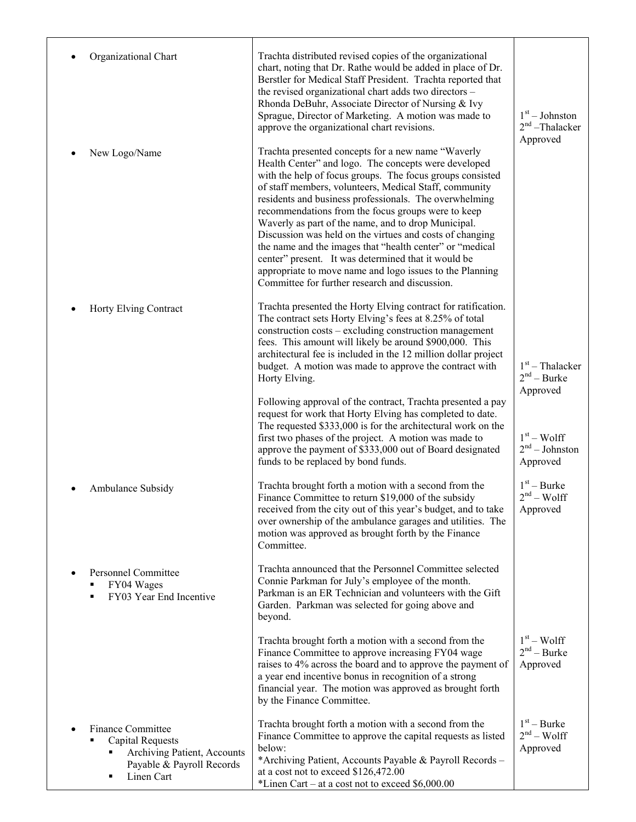|           | Organizational Chart                                                                                                          | Trachta distributed revised copies of the organizational<br>chart, noting that Dr. Rathe would be added in place of Dr.<br>Berstler for Medical Staff President. Trachta reported that<br>the revised organizational chart adds two directors -<br>Rhonda DeBuhr, Associate Director of Nursing & Ivy<br>Sprague, Director of Marketing. A motion was made to<br>approve the organizational chart revisions.                                                                                                                                                                                                                                                                                          | $1st - Johnston$<br>$2nd$ -Thalacker<br>Approved |
|-----------|-------------------------------------------------------------------------------------------------------------------------------|-------------------------------------------------------------------------------------------------------------------------------------------------------------------------------------------------------------------------------------------------------------------------------------------------------------------------------------------------------------------------------------------------------------------------------------------------------------------------------------------------------------------------------------------------------------------------------------------------------------------------------------------------------------------------------------------------------|--------------------------------------------------|
| ٠         | New Logo/Name                                                                                                                 | Trachta presented concepts for a new name "Waverly<br>Health Center" and logo. The concepts were developed<br>with the help of focus groups. The focus groups consisted<br>of staff members, volunteers, Medical Staff, community<br>residents and business professionals. The overwhelming<br>recommendations from the focus groups were to keep<br>Waverly as part of the name, and to drop Municipal.<br>Discussion was held on the virtues and costs of changing<br>the name and the images that "health center" or "medical<br>center" present. It was determined that it would be<br>appropriate to move name and logo issues to the Planning<br>Committee for further research and discussion. |                                                  |
| ٠         | Horty Elving Contract                                                                                                         | Trachta presented the Horty Elving contract for ratification.<br>The contract sets Horty Elving's fees at 8.25% of total<br>construction costs - excluding construction management<br>fees. This amount will likely be around \$900,000. This<br>architectural fee is included in the 12 million dollar project<br>budget. A motion was made to approve the contract with<br>Horty Elving.                                                                                                                                                                                                                                                                                                            | $1st$ – Thalacker<br>$2nd - Burke$<br>Approved   |
|           |                                                                                                                               | Following approval of the contract, Trachta presented a pay<br>request for work that Horty Elving has completed to date.<br>The requested \$333,000 is for the architectural work on the<br>first two phases of the project. A motion was made to<br>approve the payment of \$333,000 out of Board designated<br>funds to be replaced by bond funds.                                                                                                                                                                                                                                                                                                                                                  | $1st - Wolf$<br>$2nd - Johnston$<br>Approved     |
|           | Ambulance Subsidy                                                                                                             | Trachta brought forth a motion with a second from the<br>Finance Committee to return \$19,000 of the subsidy<br>received from the city out of this year's budget, and to take<br>over ownership of the ambulance garages and utilities. The<br>motion was approved as brought forth by the Finance<br>Committee.                                                                                                                                                                                                                                                                                                                                                                                      | $1st - Burke$<br>$2nd - Wolf$<br>Approved        |
| $\bullet$ | <b>Personnel Committee</b><br>FY04 Wages<br>FY03 Year End Incentive<br>▪                                                      | Trachta announced that the Personnel Committee selected<br>Connie Parkman for July's employee of the month.<br>Parkman is an ER Technician and volunteers with the Gift<br>Garden. Parkman was selected for going above and<br>beyond.                                                                                                                                                                                                                                                                                                                                                                                                                                                                |                                                  |
|           |                                                                                                                               | Trachta brought forth a motion with a second from the<br>Finance Committee to approve increasing FY04 wage<br>raises to 4% across the board and to approve the payment of<br>a year end incentive bonus in recognition of a strong<br>financial year. The motion was approved as brought forth<br>by the Finance Committee.                                                                                                                                                                                                                                                                                                                                                                           | $1st - Wolf$<br>$2nd - Burke$<br>Approved        |
|           | <b>Finance Committee</b><br><b>Capital Requests</b><br>Archiving Patient, Accounts<br>Payable & Payroll Records<br>Linen Cart | Trachta brought forth a motion with a second from the<br>Finance Committee to approve the capital requests as listed<br>below:<br>*Archiving Patient, Accounts Payable & Payroll Records -<br>at a cost not to exceed \$126,472.00<br>*Linen Cart – at a cost not to exceed $$6,000.00$                                                                                                                                                                                                                                                                                                                                                                                                               | $1st - Burke$<br>$2nd - Wolf$<br>Approved        |